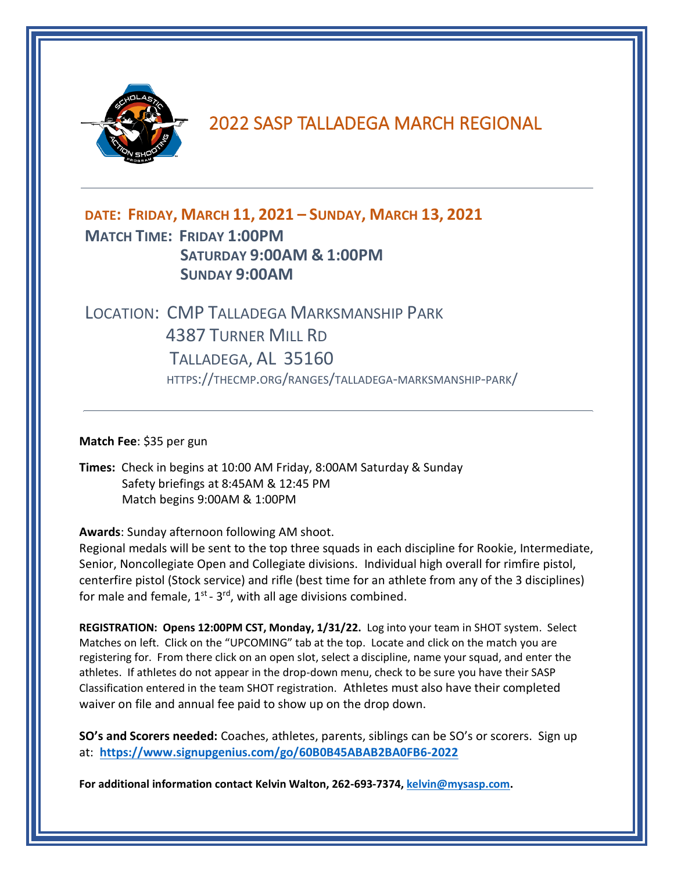

## 2022 SASP TALLADEGA MARCH REGIONAL

## **DATE: FRIDAY, MARCH 11, 2021 – SUNDAY, MARCH 13, 2021 MATCH TIME: FRIDAY 1:00PM SATURDAY 9:00AM & 1:00PM SUNDAY 9:00AM**

## LOCATION: CMP TALLADEGA MARKSMANSHIP PARK 4387 TURNER MILL RD TALLADEGA, AL 35160 HTTPS://THECMP.ORG/RANGES/TALLADEGA-MARKSMANSHIP-PARK/

**Match Fee**: \$35 per gun

**Times:** Check in begins at 10:00 AM Friday, 8:00AM Saturday & Sunday Safety briefings at 8:45AM & 12:45 PM Match begins 9:00AM & 1:00PM

**Awards**: Sunday afternoon following AM shoot.

Regional medals will be sent to the top three squads in each discipline for Rookie, Intermediate, Senior, Noncollegiate Open and Collegiate divisions. Individual high overall for rimfire pistol, centerfire pistol (Stock service) and rifle (best time for an athlete from any of the 3 disciplines) for male and female,  $1<sup>st</sup>$  -  $3<sup>rd</sup>$ , with all age divisions combined.

**REGISTRATION: Opens 12:00PM CST, Monday, 1/31/22.** Log into your team in SHOT system. Select Matches on left. Click on the "UPCOMING" tab at the top. Locate and click on the match you are registering for. From there click on an open slot, select a discipline, name your squad, and enter the athletes. If athletes do not appear in the drop-down menu, check to be sure you have their SASP Classification entered in the team SHOT registration. Athletes must also have their completed waiver on file and annual fee paid to show up on the drop down.

**SO's and Scorers needed:** Coaches, athletes, parents, siblings can be SO's or scorers. Sign up at: **<https://www.signupgenius.com/go/60B0B45ABAB2BA0FB6-2022>**

**For additional information contact Kelvin Walton, 262-693-7374[, kelvin@mysasp.com.](mailto:kelvin@mysasp.com)**